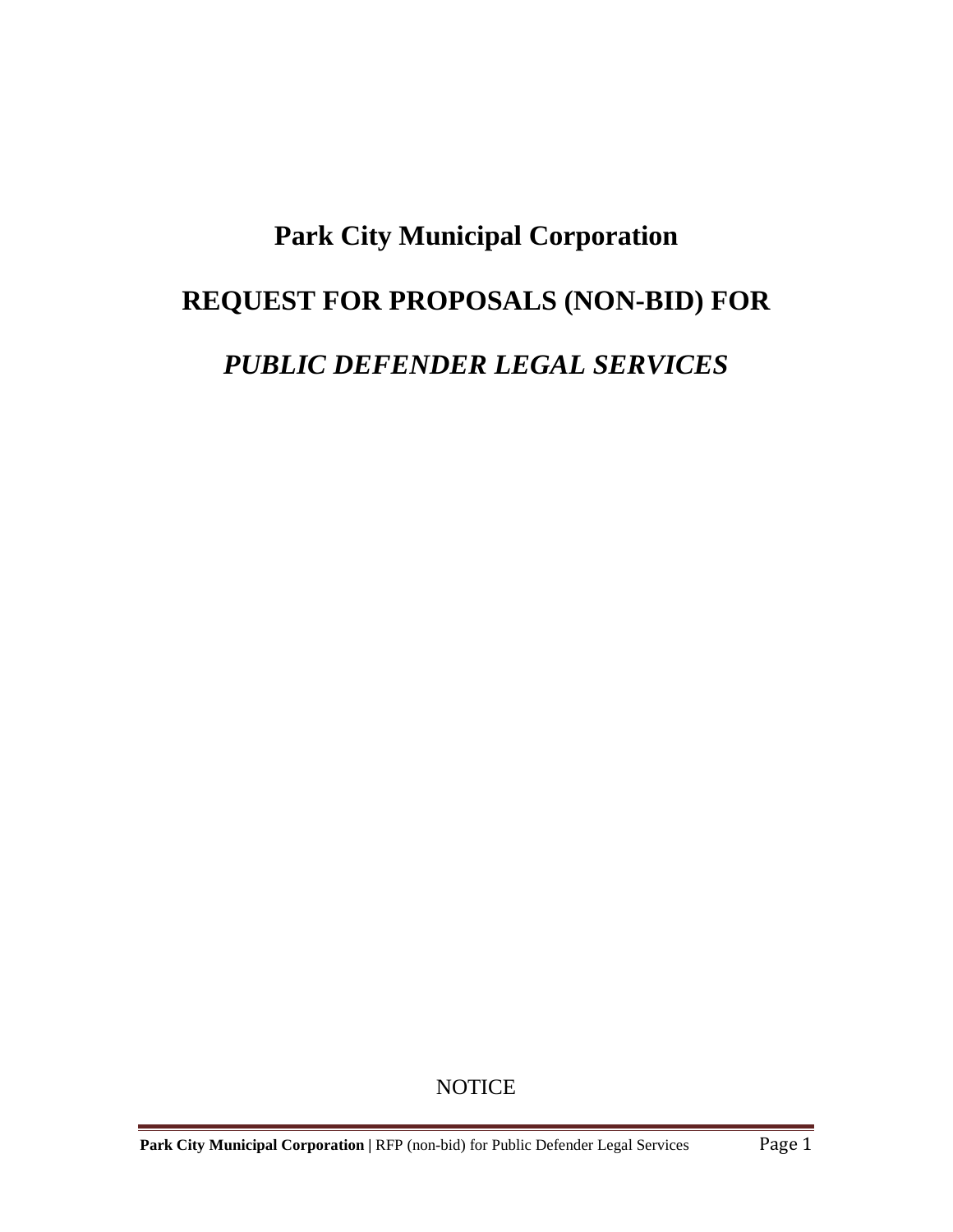# **Park City Municipal Corporation REQUEST FOR PROPOSALS (NON-BID) FOR** *PUBLIC DEFENDER LEGAL SERVICES*

**NOTICE**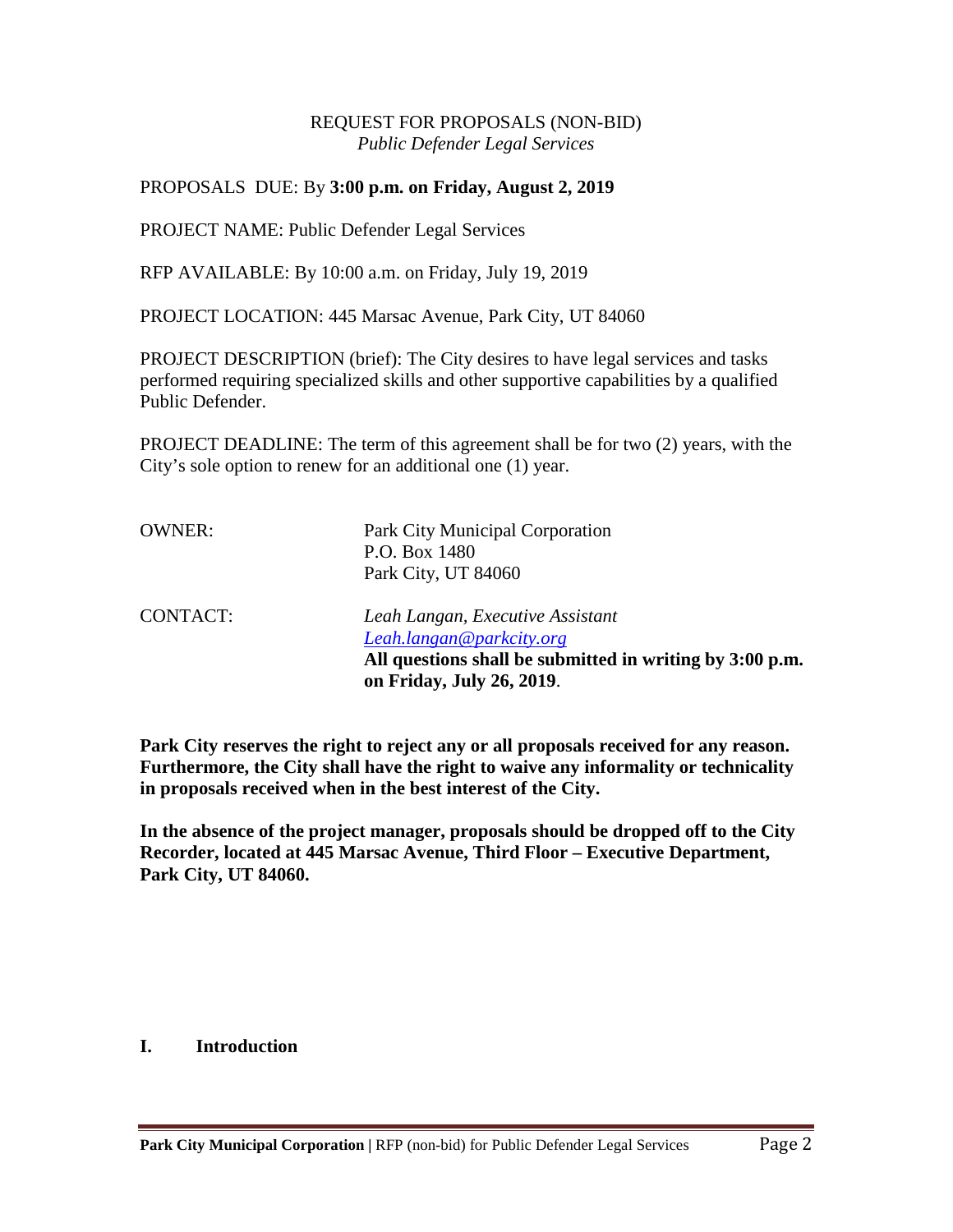#### REQUEST FOR PROPOSALS (NON-BID) *Public Defender Legal Services*

#### PROPOSALS DUE: By **3:00 p.m. on Friday, August 2, 2019**

PROJECT NAME: Public Defender Legal Services

RFP AVAILABLE: By 10:00 a.m. on Friday, July 19, 2019

PROJECT LOCATION: 445 Marsac Avenue, Park City, UT 84060

PROJECT DESCRIPTION (brief): The City desires to have legal services and tasks performed requiring specialized skills and other supportive capabilities by a qualified Public Defender.

PROJECT DEADLINE: The term of this agreement shall be for two (2) years, with the City's sole option to renew for an additional one (1) year.

| <b>OWNER:</b>   | Park City Municipal Corporation<br>P.O. Box 1480<br>Park City, UT 84060                                                  |
|-----------------|--------------------------------------------------------------------------------------------------------------------------|
| <b>CONTACT:</b> | Leah Langan, Executive Assistant<br>Leah.langan@parkcity.org<br>All questions shall be submitted in writing by 3:00 p.m. |
|                 | on Friday, July 26, 2019.                                                                                                |

**Park City reserves the right to reject any or all proposals received for any reason. Furthermore, the City shall have the right to waive any informality or technicality in proposals received when in the best interest of the City.**

**In the absence of the project manager, proposals should be dropped off to the City Recorder, located at 445 Marsac Avenue, Third Floor – Executive Department, Park City, UT 84060.**

#### **I. Introduction**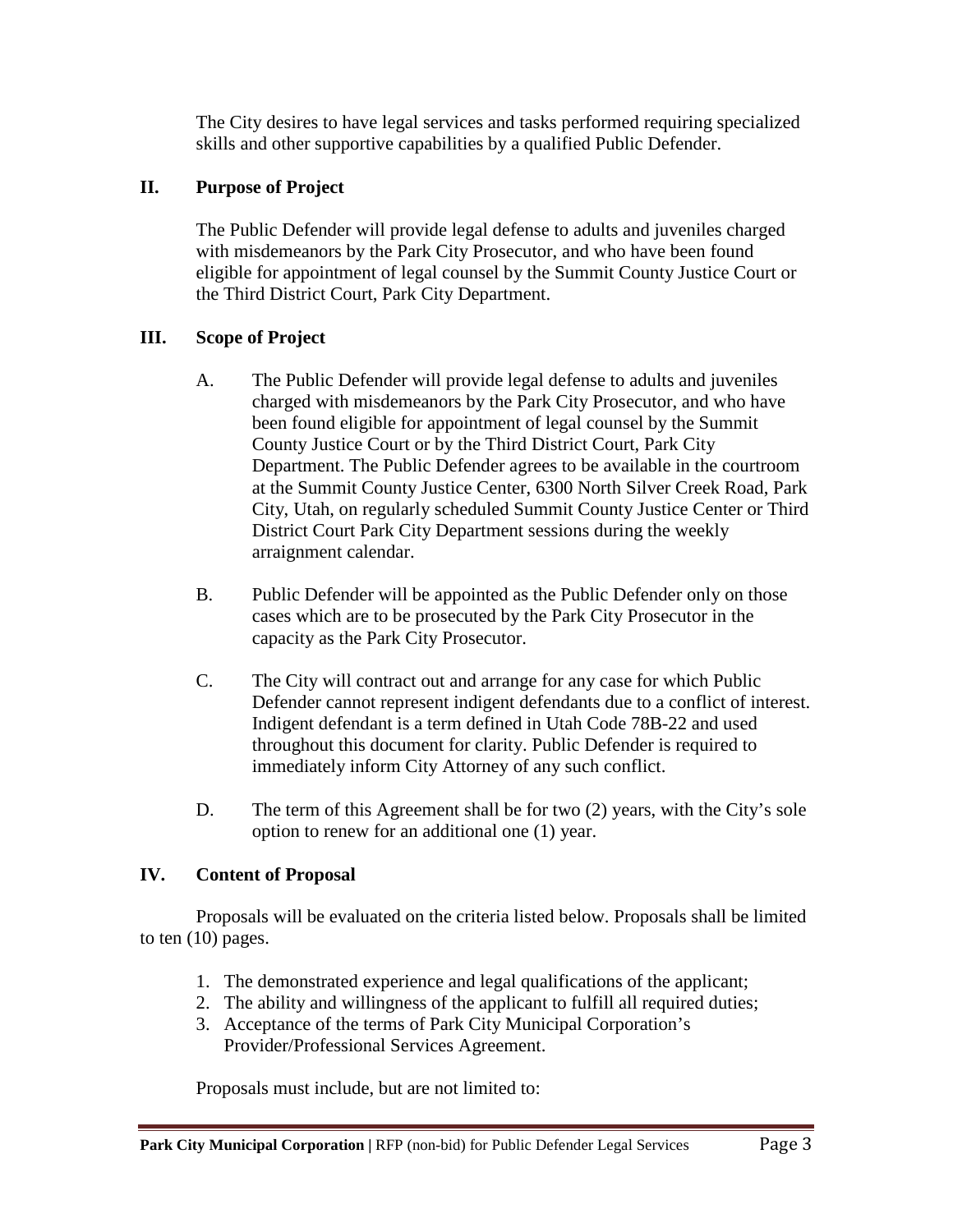The City desires to have legal services and tasks performed requiring specialized skills and other supportive capabilities by a qualified Public Defender.

## **II. Purpose of Project**

The Public Defender will provide legal defense to adults and juveniles charged with misdemeanors by the Park City Prosecutor, and who have been found eligible for appointment of legal counsel by the Summit County Justice Court or the Third District Court, Park City Department.

## **III. Scope of Project**

- A. The Public Defender will provide legal defense to adults and juveniles charged with misdemeanors by the Park City Prosecutor, and who have been found eligible for appointment of legal counsel by the Summit County Justice Court or by the Third District Court, Park City Department. The Public Defender agrees to be available in the courtroom at the Summit County Justice Center, 6300 North Silver Creek Road, Park City, Utah, on regularly scheduled Summit County Justice Center or Third District Court Park City Department sessions during the weekly arraignment calendar.
- B. Public Defender will be appointed as the Public Defender only on those cases which are to be prosecuted by the Park City Prosecutor in the capacity as the Park City Prosecutor.
- C. The City will contract out and arrange for any case for which Public Defender cannot represent indigent defendants due to a conflict of interest. Indigent defendant is a term defined in Utah Code 78B-22 and used throughout this document for clarity. Public Defender is required to immediately inform City Attorney of any such conflict.
- D. The term of this Agreement shall be for two (2) years, with the City's sole option to renew for an additional one (1) year.

## **IV. Content of Proposal**

Proposals will be evaluated on the criteria listed below. Proposals shall be limited to ten (10) pages.

- 1. The demonstrated experience and legal qualifications of the applicant;
- 2. The ability and willingness of the applicant to fulfill all required duties;
- 3. Acceptance of the terms of Park City Municipal Corporation's Provider/Professional Services Agreement.

Proposals must include, but are not limited to: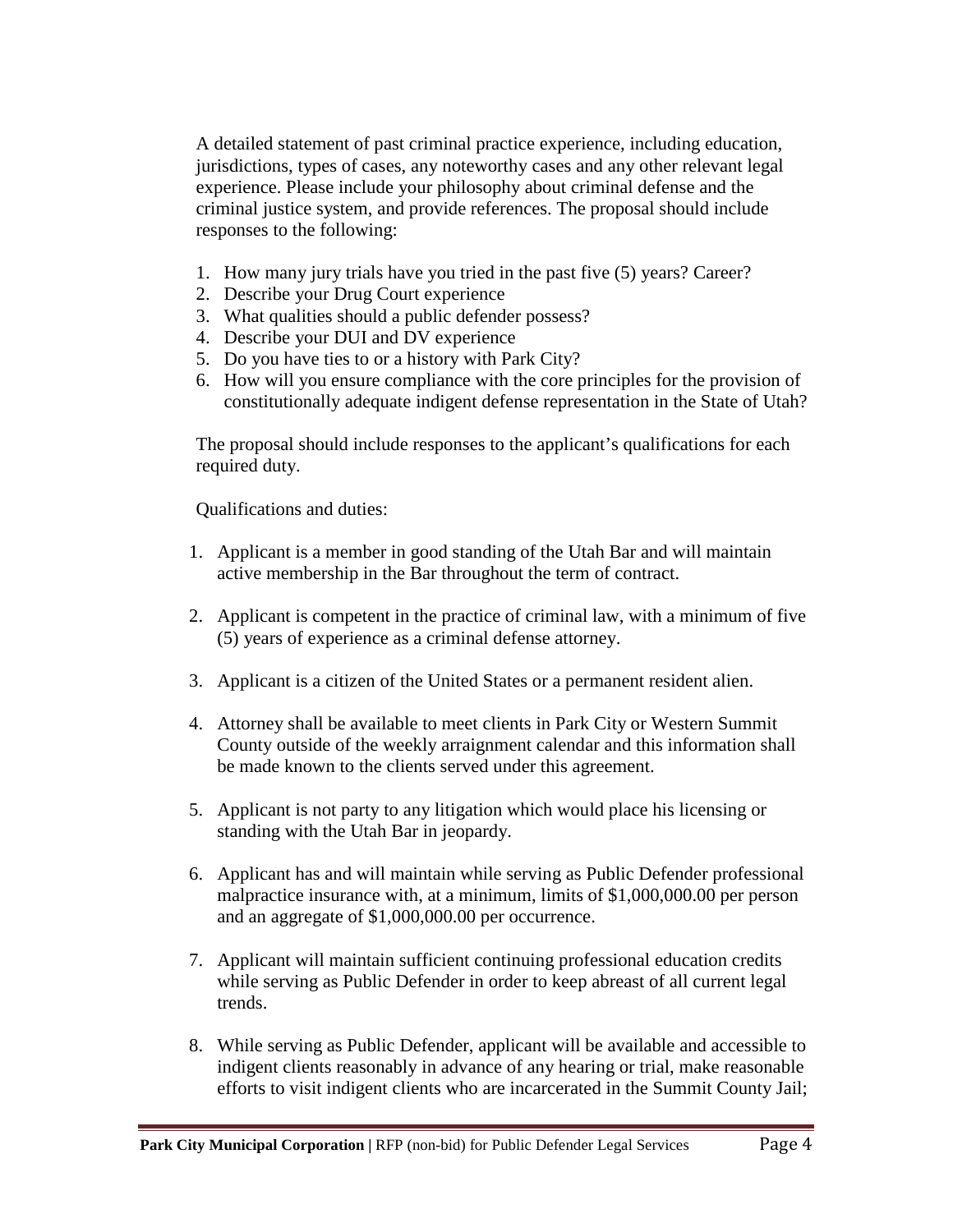A detailed statement of past criminal practice experience, including education, jurisdictions, types of cases, any noteworthy cases and any other relevant legal experience. Please include your philosophy about criminal defense and the criminal justice system, and provide references. The proposal should include responses to the following:

- 1. How many jury trials have you tried in the past five (5) years? Career?
- 2. Describe your Drug Court experience
- 3. What qualities should a public defender possess?
- 4. Describe your DUI and DV experience
- 5. Do you have ties to or a history with Park City?
- 6. How will you ensure compliance with the core principles for the provision of constitutionally adequate indigent defense representation in the State of Utah?

The proposal should include responses to the applicant's qualifications for each required duty.

Qualifications and duties:

- 1. Applicant is a member in good standing of the Utah Bar and will maintain active membership in the Bar throughout the term of contract.
- 2. Applicant is competent in the practice of criminal law, with a minimum of five (5) years of experience as a criminal defense attorney.
- 3. Applicant is a citizen of the United States or a permanent resident alien.
- 4. Attorney shall be available to meet clients in Park City or Western Summit County outside of the weekly arraignment calendar and this information shall be made known to the clients served under this agreement.
- 5. Applicant is not party to any litigation which would place his licensing or standing with the Utah Bar in jeopardy.
- 6. Applicant has and will maintain while serving as Public Defender professional malpractice insurance with, at a minimum, limits of \$1,000,000.00 per person and an aggregate of \$1,000,000.00 per occurrence.
- 7. Applicant will maintain sufficient continuing professional education credits while serving as Public Defender in order to keep abreast of all current legal trends.
- 8. While serving as Public Defender, applicant will be available and accessible to indigent clients reasonably in advance of any hearing or trial, make reasonable efforts to visit indigent clients who are incarcerated in the Summit County Jail;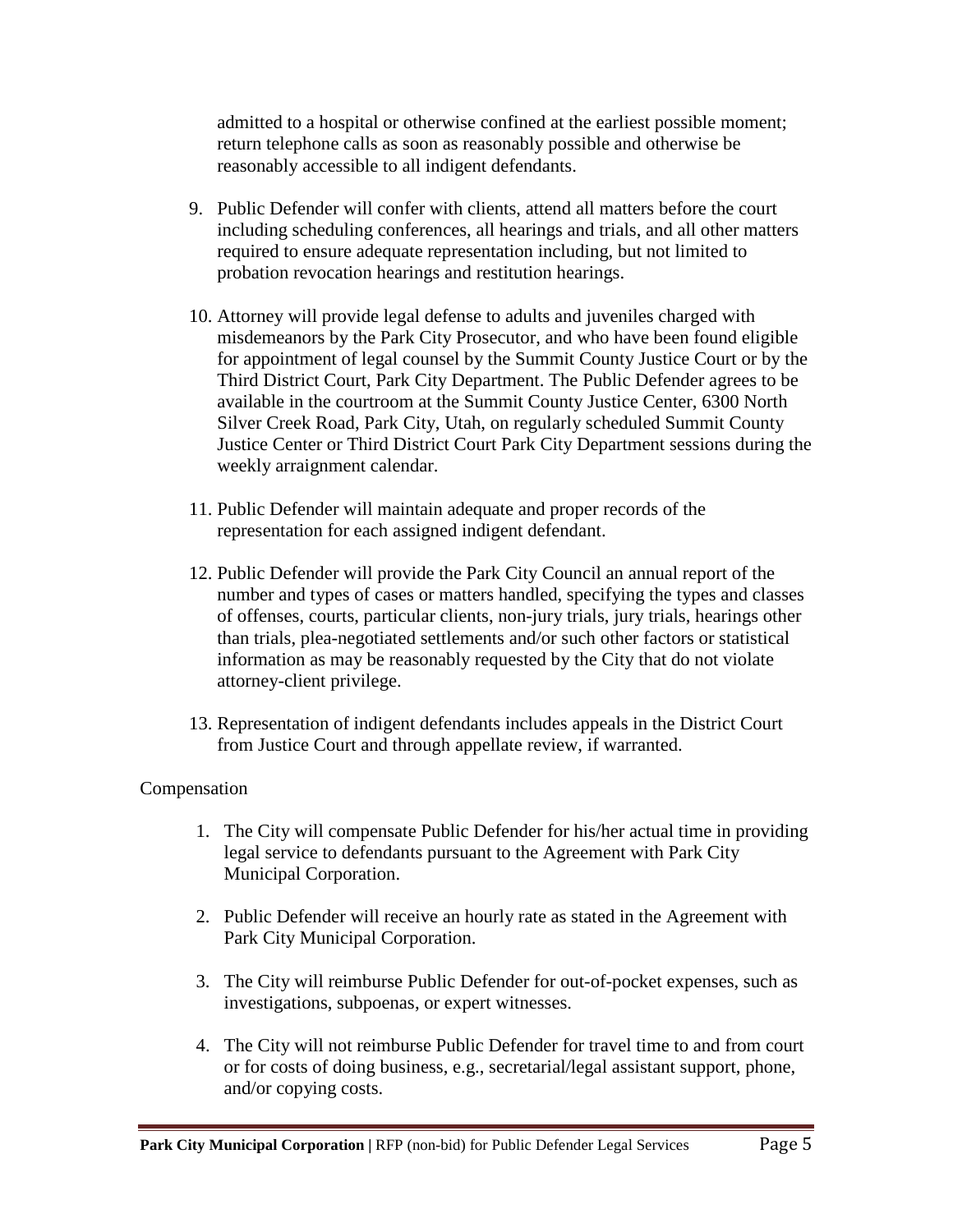admitted to a hospital or otherwise confined at the earliest possible moment; return telephone calls as soon as reasonably possible and otherwise be reasonably accessible to all indigent defendants.

- 9. Public Defender will confer with clients, attend all matters before the court including scheduling conferences, all hearings and trials, and all other matters required to ensure adequate representation including, but not limited to probation revocation hearings and restitution hearings.
- 10. Attorney will provide legal defense to adults and juveniles charged with misdemeanors by the Park City Prosecutor, and who have been found eligible for appointment of legal counsel by the Summit County Justice Court or by the Third District Court, Park City Department. The Public Defender agrees to be available in the courtroom at the Summit County Justice Center, 6300 North Silver Creek Road, Park City, Utah, on regularly scheduled Summit County Justice Center or Third District Court Park City Department sessions during the weekly arraignment calendar.
- 11. Public Defender will maintain adequate and proper records of the representation for each assigned indigent defendant.
- 12. Public Defender will provide the Park City Council an annual report of the number and types of cases or matters handled, specifying the types and classes of offenses, courts, particular clients, non-jury trials, jury trials, hearings other than trials, plea-negotiated settlements and/or such other factors or statistical information as may be reasonably requested by the City that do not violate attorney-client privilege.
- 13. Representation of indigent defendants includes appeals in the District Court from Justice Court and through appellate review, if warranted.

## Compensation

- 1. The City will compensate Public Defender for his/her actual time in providing legal service to defendants pursuant to the Agreement with Park City Municipal Corporation.
- 2. Public Defender will receive an hourly rate as stated in the Agreement with Park City Municipal Corporation.
- 3. The City will reimburse Public Defender for out-of-pocket expenses, such as investigations, subpoenas, or expert witnesses.
- 4. The City will not reimburse Public Defender for travel time to and from court or for costs of doing business, e.g., secretarial/legal assistant support, phone, and/or copying costs.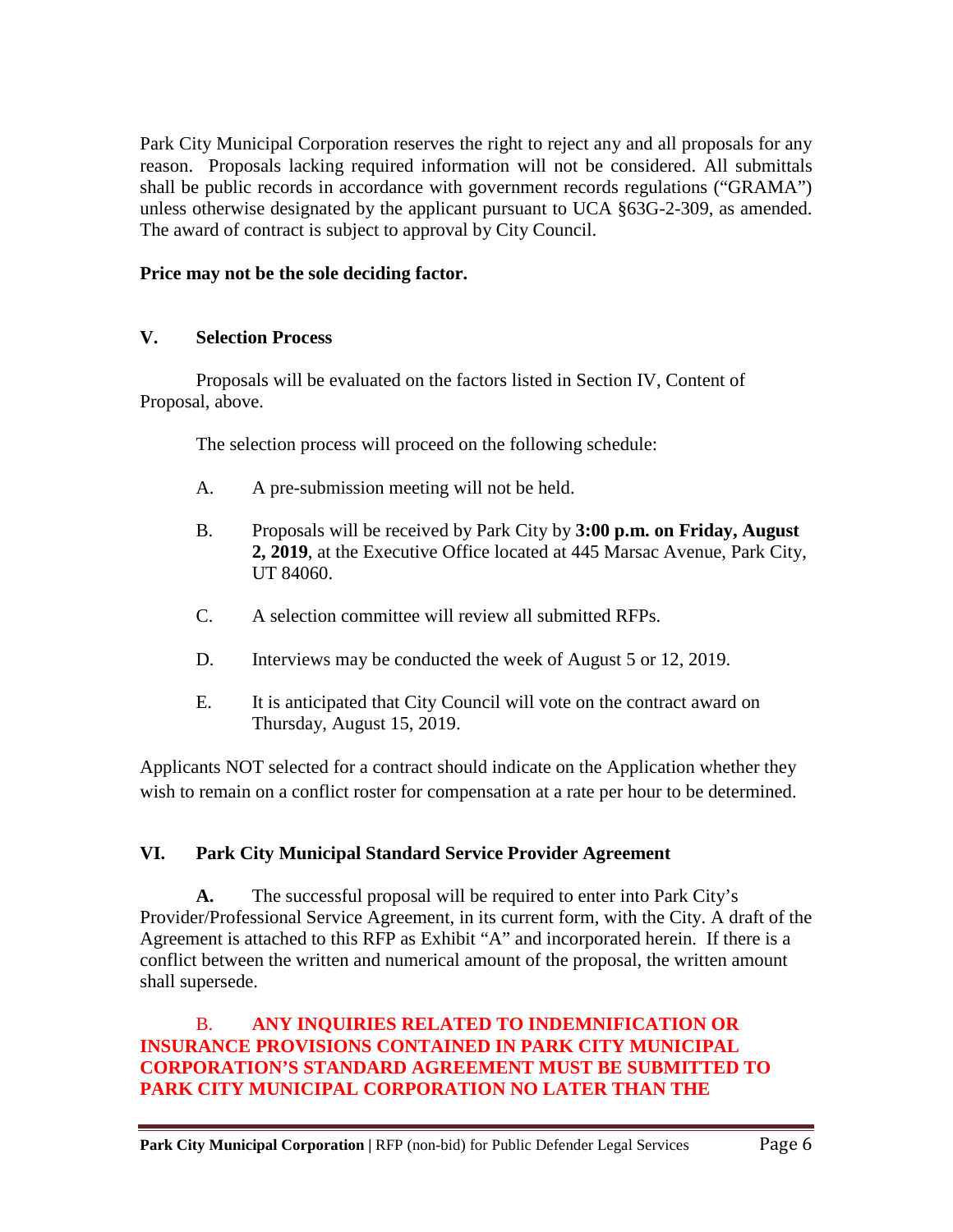Park City Municipal Corporation reserves the right to reject any and all proposals for any reason. Proposals lacking required information will not be considered. All submittals shall be public records in accordance with government records regulations ("GRAMA") unless otherwise designated by the applicant pursuant to UCA §63G-2-309, as amended. The award of contract is subject to approval by City Council.

## **Price may not be the sole deciding factor.**

## **V. Selection Process**

Proposals will be evaluated on the factors listed in Section IV, Content of Proposal, above.

The selection process will proceed on the following schedule:

- A. A pre-submission meeting will not be held.
- B. Proposals will be received by Park City by **3:00 p.m. on Friday, August 2, 2019**, at the Executive Office located at 445 Marsac Avenue, Park City, UT 84060.
- C. A selection committee will review all submitted RFPs.
- D. Interviews may be conducted the week of August 5 or 12, 2019.
- E. It is anticipated that City Council will vote on the contract award on Thursday, August 15, 2019.

Applicants NOT selected for a contract should indicate on the Application whether they wish to remain on a conflict roster for compensation at a rate per hour to be determined.

## **VI. Park City Municipal Standard Service Provider Agreement**

**A.** The successful proposal will be required to enter into Park City's Provider/Professional Service Agreement, in its current form, with the City. A draft of the Agreement is attached to this RFP as Exhibit "A" and incorporated herein. If there is a conflict between the written and numerical amount of the proposal, the written amount shall supersede.

## B. **ANY INQUIRIES RELATED TO INDEMNIFICATION OR INSURANCE PROVISIONS CONTAINED IN PARK CITY MUNICIPAL CORPORATION'S STANDARD AGREEMENT MUST BE SUBMITTED TO PARK CITY MUNICIPAL CORPORATION NO LATER THAN THE**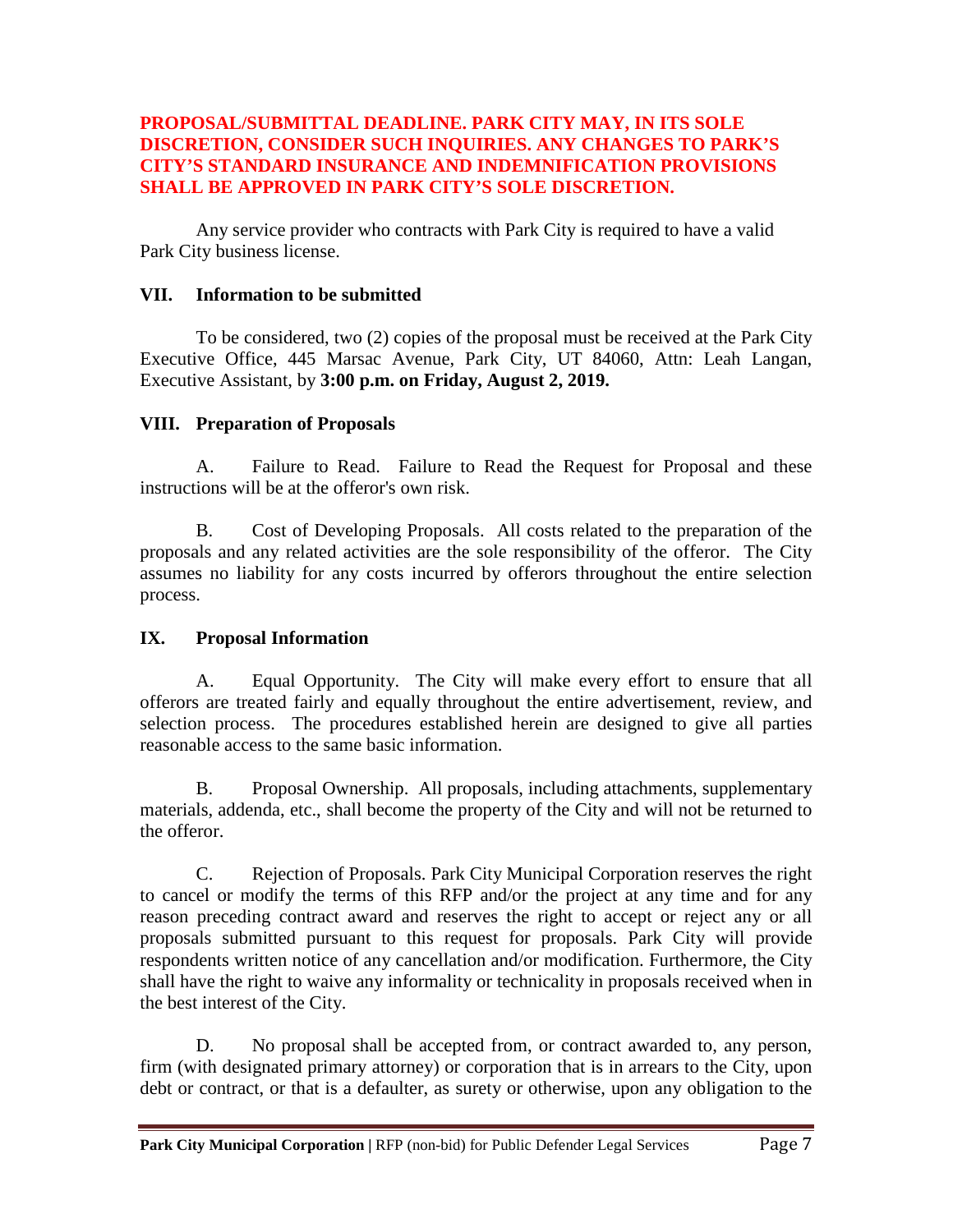## **PROPOSAL/SUBMITTAL DEADLINE. PARK CITY MAY, IN ITS SOLE DISCRETION, CONSIDER SUCH INQUIRIES. ANY CHANGES TO PARK'S CITY'S STANDARD INSURANCE AND INDEMNIFICATION PROVISIONS SHALL BE APPROVED IN PARK CITY'S SOLE DISCRETION.**

Any service provider who contracts with Park City is required to have a valid Park City business license.

#### **VII. Information to be submitted**

To be considered, two (2) copies of the proposal must be received at the Park City Executive Office, 445 Marsac Avenue, Park City, UT 84060, Attn: Leah Langan, Executive Assistant, by **3:00 p.m. on Friday, August 2, 2019.**

#### **VIII. Preparation of Proposals**

A. Failure to Read. Failure to Read the Request for Proposal and these instructions will be at the offeror's own risk.

B. Cost of Developing Proposals. All costs related to the preparation of the proposals and any related activities are the sole responsibility of the offeror. The City assumes no liability for any costs incurred by offerors throughout the entire selection process.

## **IX. Proposal Information**

A. Equal Opportunity. The City will make every effort to ensure that all offerors are treated fairly and equally throughout the entire advertisement, review, and selection process. The procedures established herein are designed to give all parties reasonable access to the same basic information.

B. Proposal Ownership. All proposals, including attachments, supplementary materials, addenda, etc., shall become the property of the City and will not be returned to the offeror.

C. Rejection of Proposals. Park City Municipal Corporation reserves the right to cancel or modify the terms of this RFP and/or the project at any time and for any reason preceding contract award and reserves the right to accept or reject any or all proposals submitted pursuant to this request for proposals. Park City will provide respondents written notice of any cancellation and/or modification. Furthermore, the City shall have the right to waive any informality or technicality in proposals received when in the best interest of the City.

D. No proposal shall be accepted from, or contract awarded to, any person, firm (with designated primary attorney) or corporation that is in arrears to the City, upon debt or contract, or that is a defaulter, as surety or otherwise, upon any obligation to the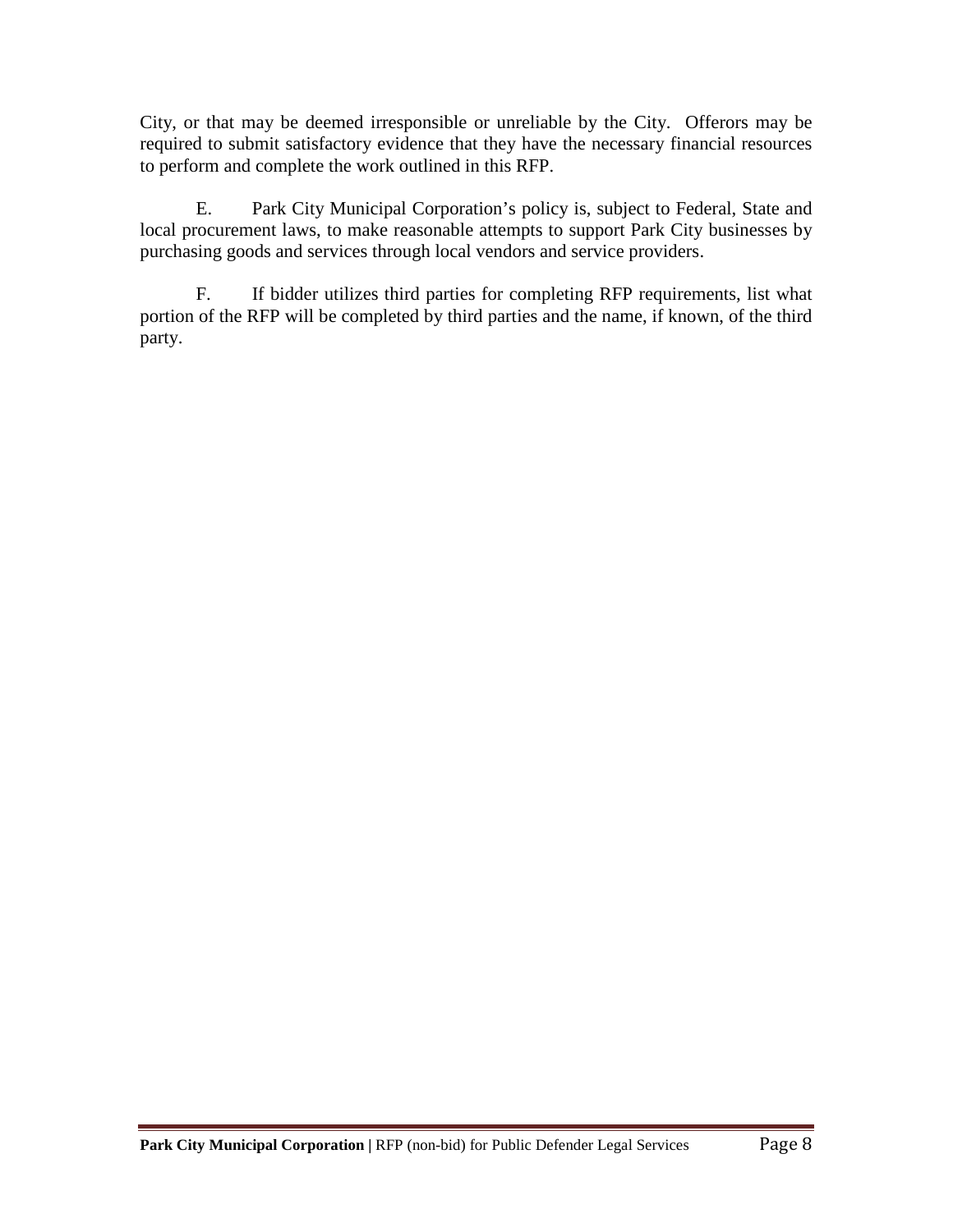City, or that may be deemed irresponsible or unreliable by the City. Offerors may be required to submit satisfactory evidence that they have the necessary financial resources to perform and complete the work outlined in this RFP.

E. Park City Municipal Corporation's policy is, subject to Federal, State and local procurement laws, to make reasonable attempts to support Park City businesses by purchasing goods and services through local vendors and service providers.

F. If bidder utilizes third parties for completing RFP requirements, list what portion of the RFP will be completed by third parties and the name, if known, of the third party.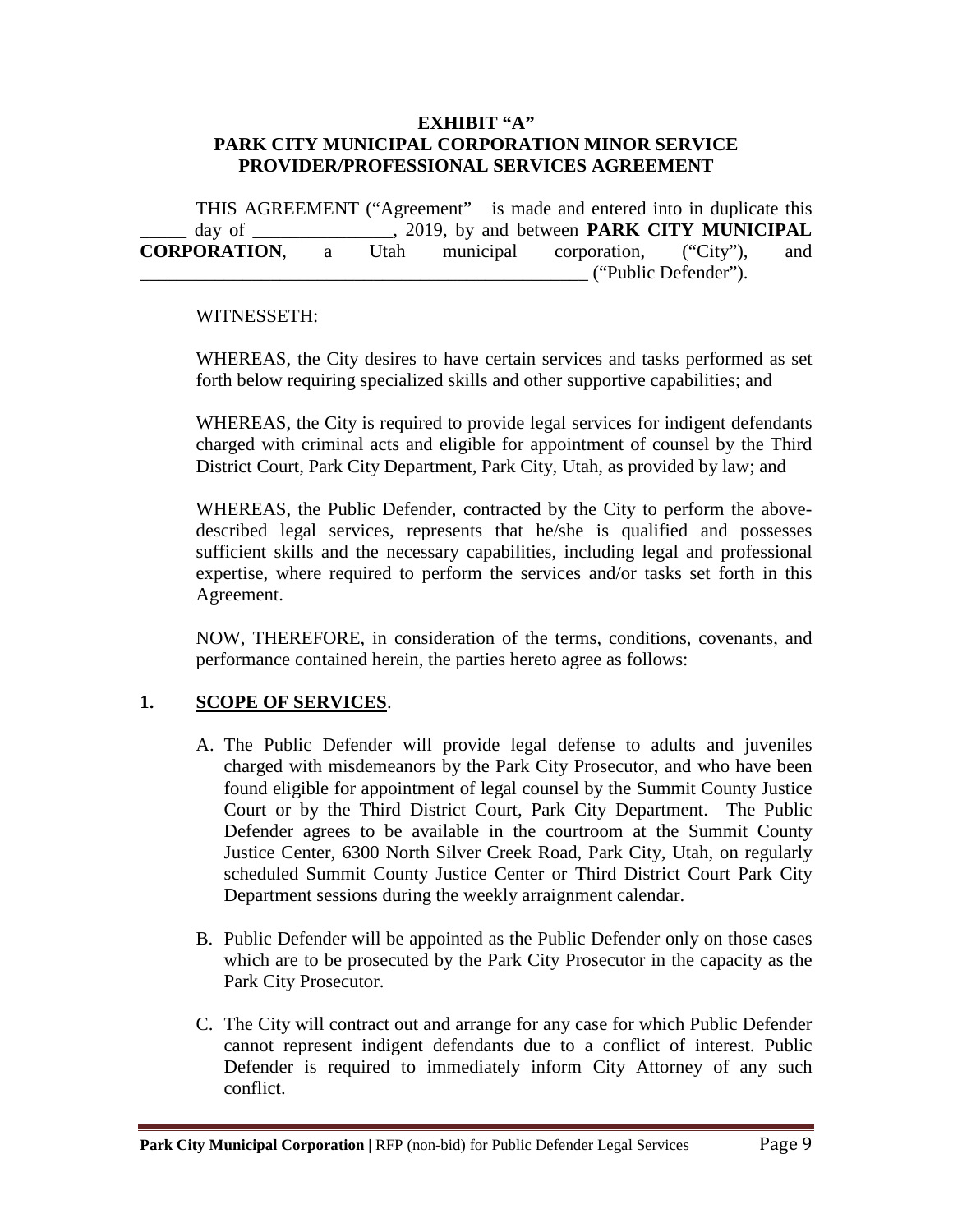#### **EXHIBIT "A" PARK CITY MUNICIPAL CORPORATION MINOR SERVICE PROVIDER/PROFESSIONAL SERVICES AGREEMENT**

THIS AGREEMENT ("Agreement" is made and entered into in duplicate this day of \_\_\_\_\_\_\_\_\_\_\_\_\_, 2019, by and between **PARK CITY MUNICIPAL CORPORATION**, a Utah municipal corporation, ("City"), and \_\_\_\_\_\_\_\_\_\_\_\_\_\_\_\_\_\_\_\_\_\_\_\_\_\_\_\_\_\_\_\_\_\_\_\_\_\_\_\_\_\_\_\_\_\_\_\_ ("Public Defender").

#### WITNESSETH:

WHEREAS, the City desires to have certain services and tasks performed as set forth below requiring specialized skills and other supportive capabilities; and

WHEREAS, the City is required to provide legal services for indigent defendants charged with criminal acts and eligible for appointment of counsel by the Third District Court, Park City Department, Park City, Utah, as provided by law; and

WHEREAS, the Public Defender, contracted by the City to perform the abovedescribed legal services, represents that he/she is qualified and possesses sufficient skills and the necessary capabilities, including legal and professional expertise, where required to perform the services and/or tasks set forth in this Agreement.

NOW, THEREFORE, in consideration of the terms, conditions, covenants, and performance contained herein, the parties hereto agree as follows:

## **1. SCOPE OF SERVICES**.

- A. The Public Defender will provide legal defense to adults and juveniles charged with misdemeanors by the Park City Prosecutor, and who have been found eligible for appointment of legal counsel by the Summit County Justice Court or by the Third District Court, Park City Department. The Public Defender agrees to be available in the courtroom at the Summit County Justice Center, 6300 North Silver Creek Road, Park City, Utah, on regularly scheduled Summit County Justice Center or Third District Court Park City Department sessions during the weekly arraignment calendar.
- B. Public Defender will be appointed as the Public Defender only on those cases which are to be prosecuted by the Park City Prosecutor in the capacity as the Park City Prosecutor.
- C. The City will contract out and arrange for any case for which Public Defender cannot represent indigent defendants due to a conflict of interest. Public Defender is required to immediately inform City Attorney of any such conflict.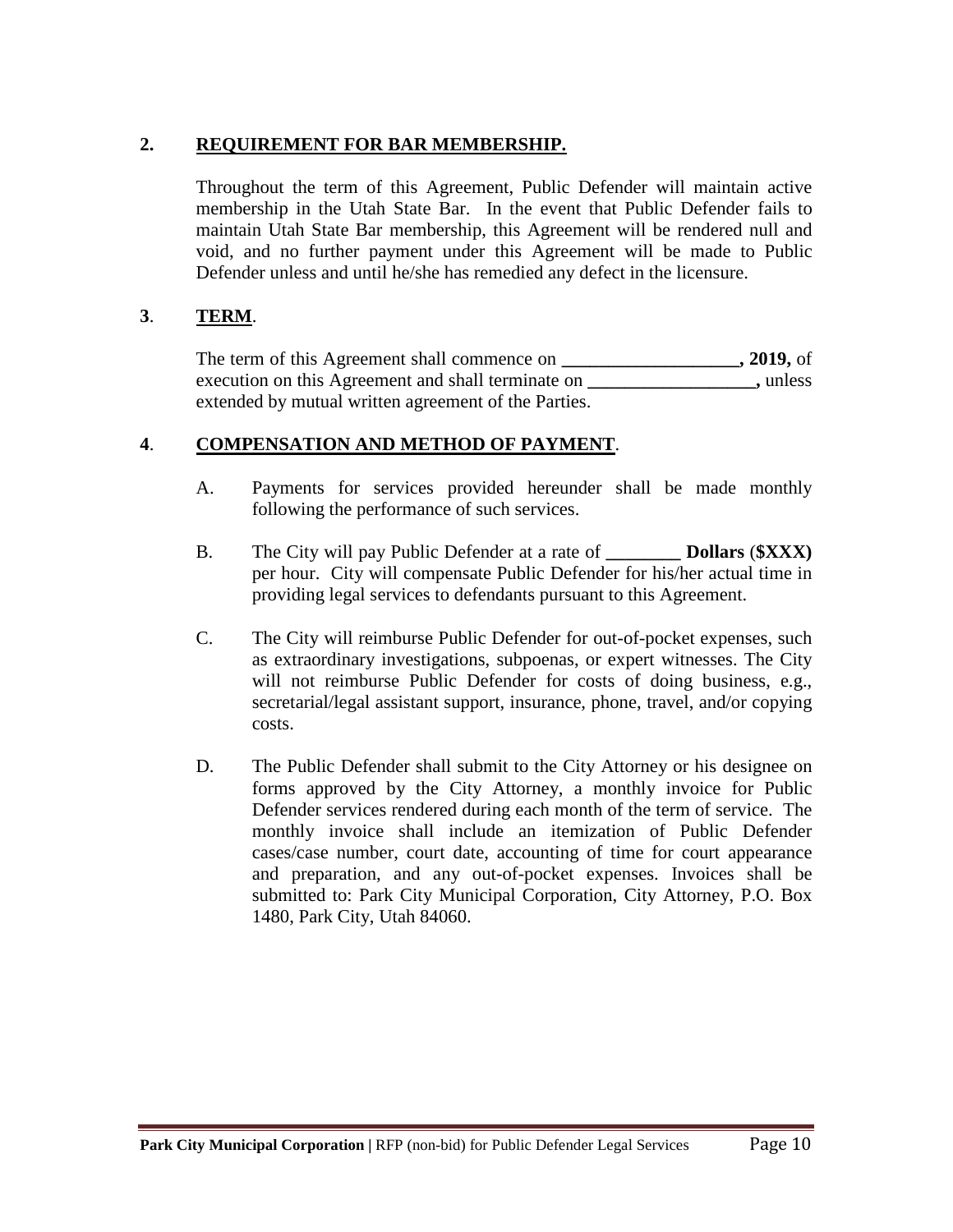## **2. REQUIREMENT FOR BAR MEMBERSHIP.**

Throughout the term of this Agreement, Public Defender will maintain active membership in the Utah State Bar. In the event that Public Defender fails to maintain Utah State Bar membership, this Agreement will be rendered null and void, and no further payment under this Agreement will be made to Public Defender unless and until he/she has remedied any defect in the licensure.

## **3**. **TERM**.

The term of this Agreement shall commence on **\_\_\_\_\_\_\_\_\_\_\_\_\_\_\_\_\_\_\_, 2019,** of execution on this Agreement and shall terminate on **\_\_\_\_\_\_\_\_\_\_\_\_\_\_\_\_\_\_,** unless extended by mutual written agreement of the Parties.

## **4**. **COMPENSATION AND METHOD OF PAYMENT**.

- A. Payments for services provided hereunder shall be made monthly following the performance of such services.
- B. The City will pay Public Defender at a rate of **\_\_\_\_\_\_\_\_ Dollars** (**\$XXX)** per hour. City will compensate Public Defender for his/her actual time in providing legal services to defendants pursuant to this Agreement.
- C. The City will reimburse Public Defender for out-of-pocket expenses, such as extraordinary investigations, subpoenas, or expert witnesses. The City will not reimburse Public Defender for costs of doing business, e.g., secretarial/legal assistant support, insurance, phone, travel, and/or copying costs.
- D. The Public Defender shall submit to the City Attorney or his designee on forms approved by the City Attorney, a monthly invoice for Public Defender services rendered during each month of the term of service. The monthly invoice shall include an itemization of Public Defender cases/case number, court date, accounting of time for court appearance and preparation, and any out-of-pocket expenses. Invoices shall be submitted to: Park City Municipal Corporation, City Attorney, P.O. Box 1480, Park City, Utah 84060.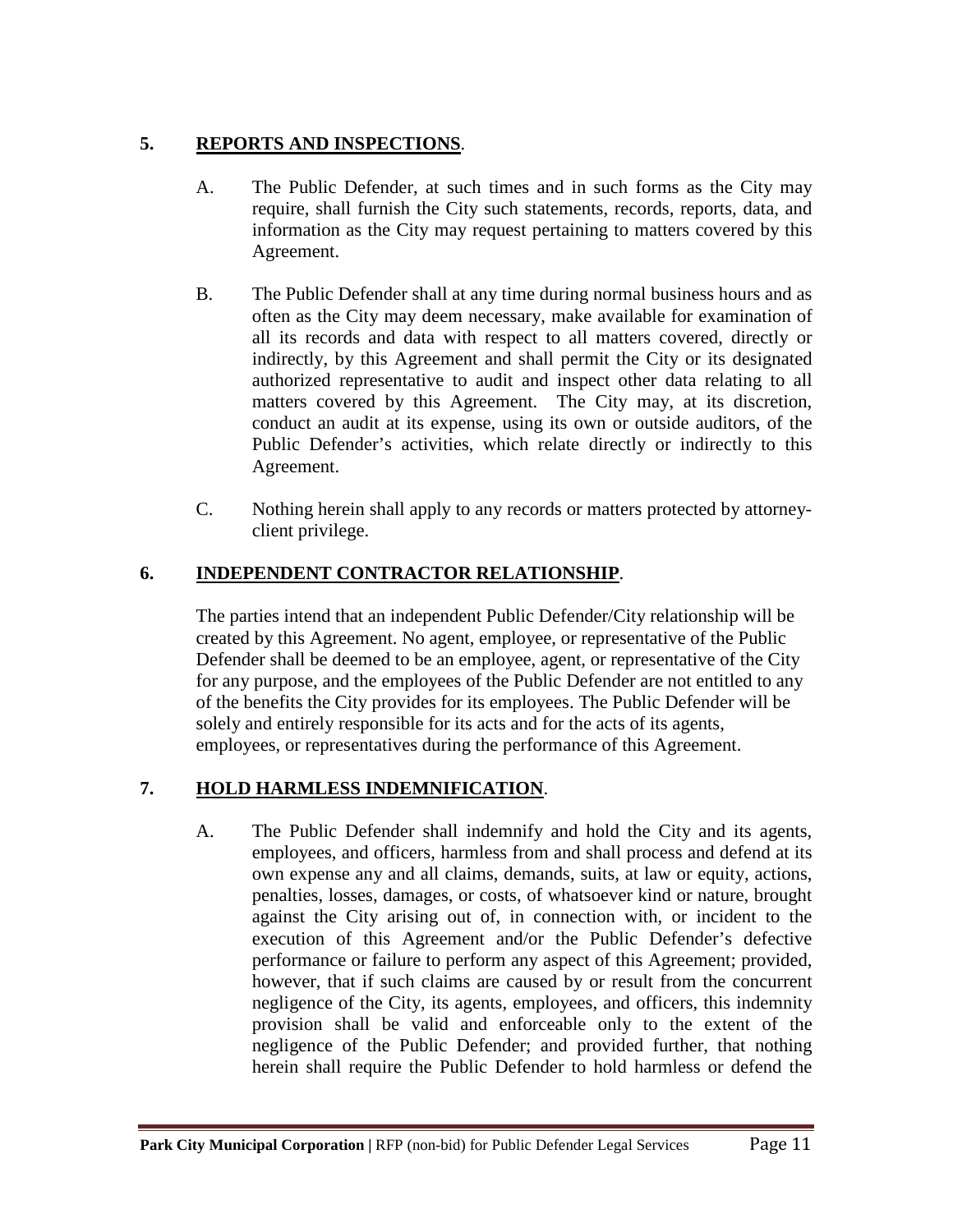## **5. REPORTS AND INSPECTIONS**.

- A. The Public Defender, at such times and in such forms as the City may require, shall furnish the City such statements, records, reports, data, and information as the City may request pertaining to matters covered by this Agreement.
- B. The Public Defender shall at any time during normal business hours and as often as the City may deem necessary, make available for examination of all its records and data with respect to all matters covered, directly or indirectly, by this Agreement and shall permit the City or its designated authorized representative to audit and inspect other data relating to all matters covered by this Agreement. The City may, at its discretion, conduct an audit at its expense, using its own or outside auditors, of the Public Defender's activities, which relate directly or indirectly to this Agreement.
- C. Nothing herein shall apply to any records or matters protected by attorneyclient privilege.

# **6. INDEPENDENT CONTRACTOR RELATIONSHIP**.

The parties intend that an independent Public Defender/City relationship will be created by this Agreement. No agent, employee, or representative of the Public Defender shall be deemed to be an employee, agent, or representative of the City for any purpose, and the employees of the Public Defender are not entitled to any of the benefits the City provides for its employees. The Public Defender will be solely and entirely responsible for its acts and for the acts of its agents, employees, or representatives during the performance of this Agreement.

# **7. HOLD HARMLESS INDEMNIFICATION**.

A. The Public Defender shall indemnify and hold the City and its agents, employees, and officers, harmless from and shall process and defend at its own expense any and all claims, demands, suits, at law or equity, actions, penalties, losses, damages, or costs, of whatsoever kind or nature, brought against the City arising out of, in connection with, or incident to the execution of this Agreement and/or the Public Defender's defective performance or failure to perform any aspect of this Agreement; provided, however, that if such claims are caused by or result from the concurrent negligence of the City, its agents, employees, and officers, this indemnity provision shall be valid and enforceable only to the extent of the negligence of the Public Defender; and provided further, that nothing herein shall require the Public Defender to hold harmless or defend the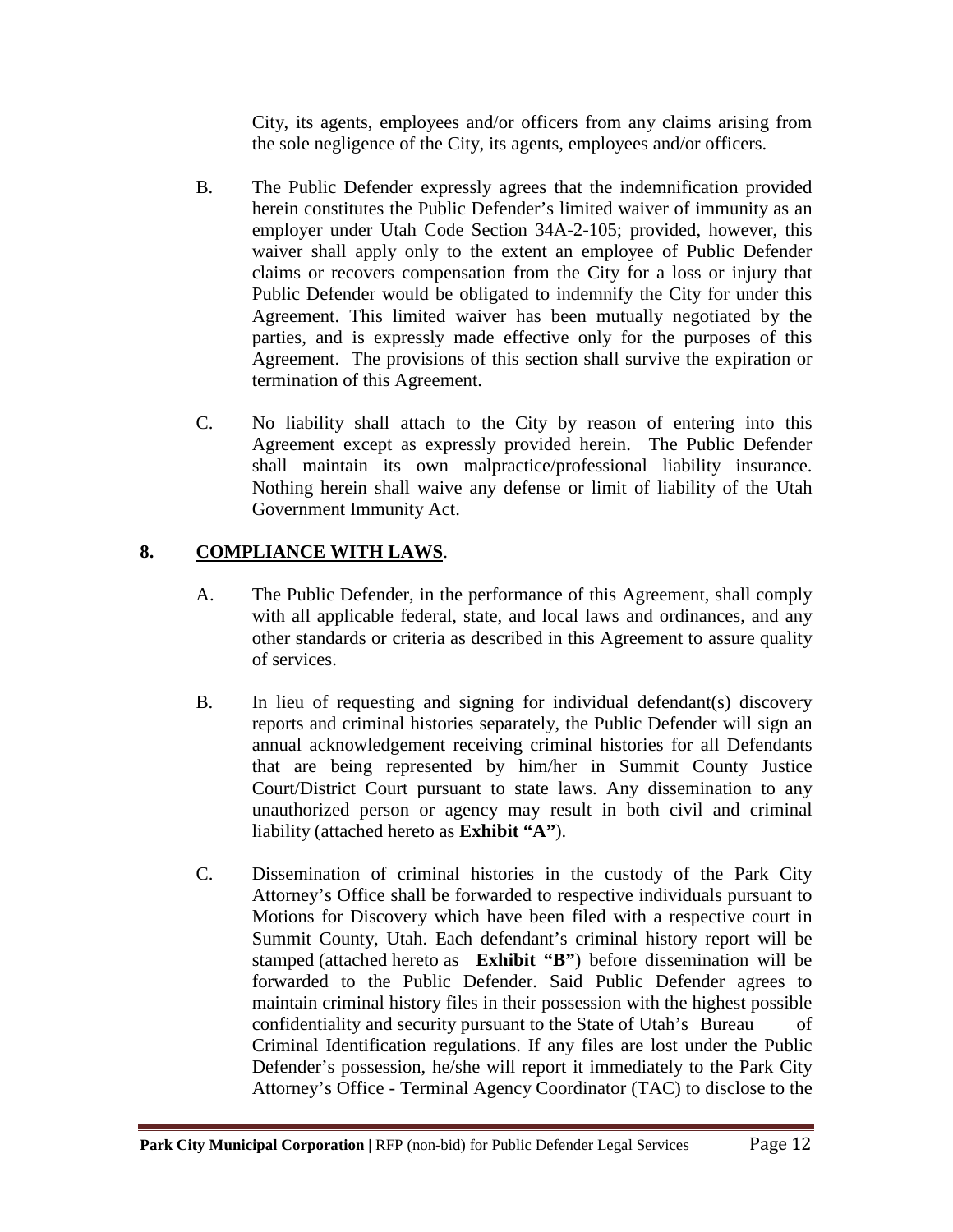City, its agents, employees and/or officers from any claims arising from the sole negligence of the City, its agents, employees and/or officers.

- B. The Public Defender expressly agrees that the indemnification provided herein constitutes the Public Defender's limited waiver of immunity as an employer under Utah Code Section 34A-2-105; provided, however, this waiver shall apply only to the extent an employee of Public Defender claims or recovers compensation from the City for a loss or injury that Public Defender would be obligated to indemnify the City for under this Agreement. This limited waiver has been mutually negotiated by the parties, and is expressly made effective only for the purposes of this Agreement. The provisions of this section shall survive the expiration or termination of this Agreement.
- C. No liability shall attach to the City by reason of entering into this Agreement except as expressly provided herein. The Public Defender shall maintain its own malpractice/professional liability insurance. Nothing herein shall waive any defense or limit of liability of the Utah Government Immunity Act.

# **8. COMPLIANCE WITH LAWS**.

- A. The Public Defender, in the performance of this Agreement, shall comply with all applicable federal, state, and local laws and ordinances, and any other standards or criteria as described in this Agreement to assure quality of services.
- B. In lieu of requesting and signing for individual defendant(s) discovery reports and criminal histories separately, the Public Defender will sign an annual acknowledgement receiving criminal histories for all Defendants that are being represented by him/her in Summit County Justice Court/District Court pursuant to state laws. Any dissemination to any unauthorized person or agency may result in both civil and criminal liability (attached hereto as **Exhibit "A"**).
- C. Dissemination of criminal histories in the custody of the Park City Attorney's Office shall be forwarded to respective individuals pursuant to Motions for Discovery which have been filed with a respective court in Summit County, Utah. Each defendant's criminal history report will be stamped (attached hereto as **Exhibit "B"**) before dissemination will be forwarded to the Public Defender. Said Public Defender agrees to maintain criminal history files in their possession with the highest possible confidentiality and security pursuant to the State of Utah's Bureau of Criminal Identification regulations. If any files are lost under the Public Defender's possession, he/she will report it immediately to the Park City Attorney's Office - Terminal Agency Coordinator (TAC) to disclose to the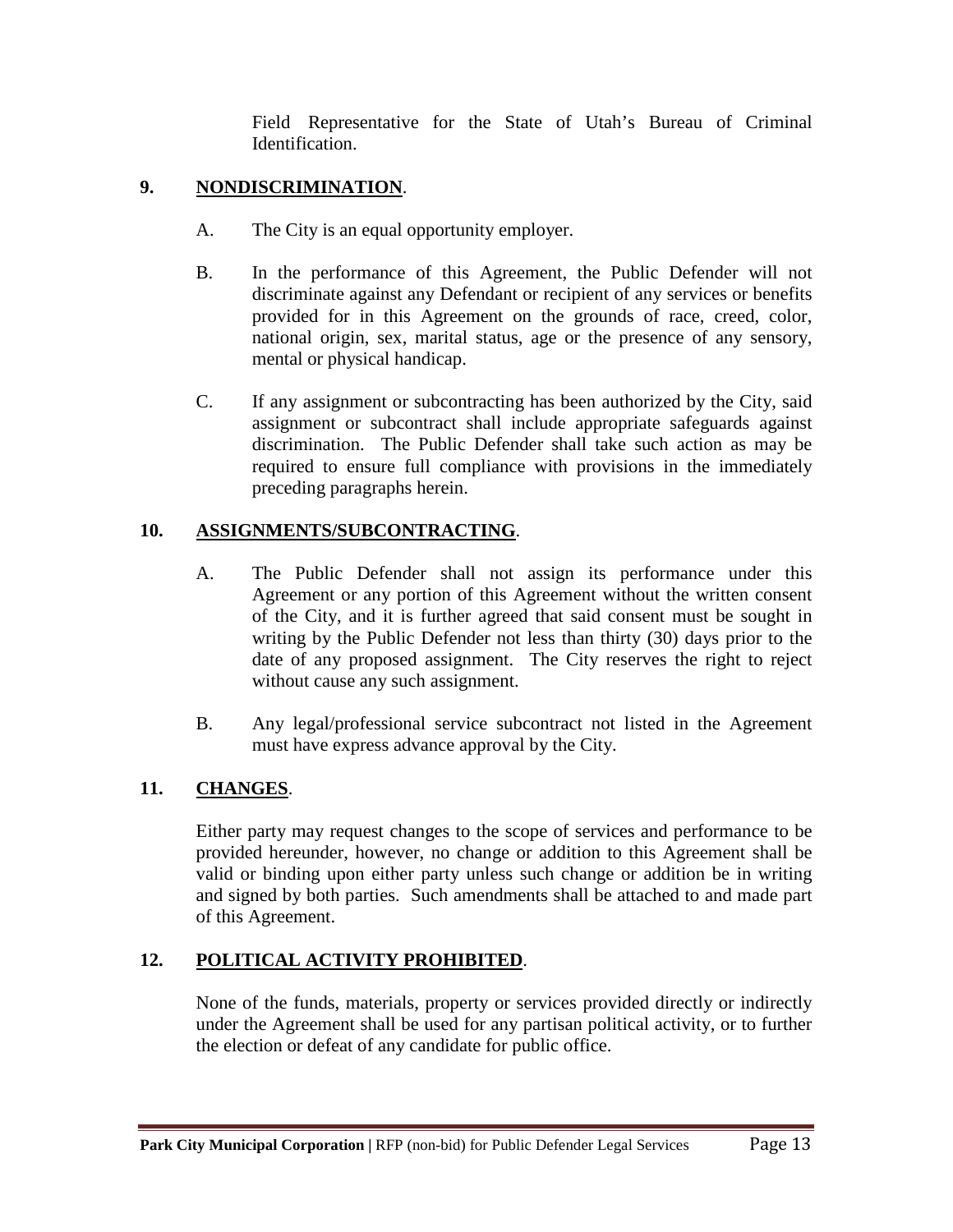Field Representative for the State of Utah's Bureau of Criminal Identification.

## **9. NONDISCRIMINATION**.

- A. The City is an equal opportunity employer.
- B. In the performance of this Agreement, the Public Defender will not discriminate against any Defendant or recipient of any services or benefits provided for in this Agreement on the grounds of race, creed, color, national origin, sex, marital status, age or the presence of any sensory, mental or physical handicap.
- C. If any assignment or subcontracting has been authorized by the City, said assignment or subcontract shall include appropriate safeguards against discrimination. The Public Defender shall take such action as may be required to ensure full compliance with provisions in the immediately preceding paragraphs herein.

# **10. ASSIGNMENTS/SUBCONTRACTING**.

- A. The Public Defender shall not assign its performance under this Agreement or any portion of this Agreement without the written consent of the City, and it is further agreed that said consent must be sought in writing by the Public Defender not less than thirty (30) days prior to the date of any proposed assignment. The City reserves the right to reject without cause any such assignment.
- B. Any legal/professional service subcontract not listed in the Agreement must have express advance approval by the City.

# **11. CHANGES**.

Either party may request changes to the scope of services and performance to be provided hereunder, however, no change or addition to this Agreement shall be valid or binding upon either party unless such change or addition be in writing and signed by both parties. Such amendments shall be attached to and made part of this Agreement.

# **12. POLITICAL ACTIVITY PROHIBITED**.

None of the funds, materials, property or services provided directly or indirectly under the Agreement shall be used for any partisan political activity, or to further the election or defeat of any candidate for public office.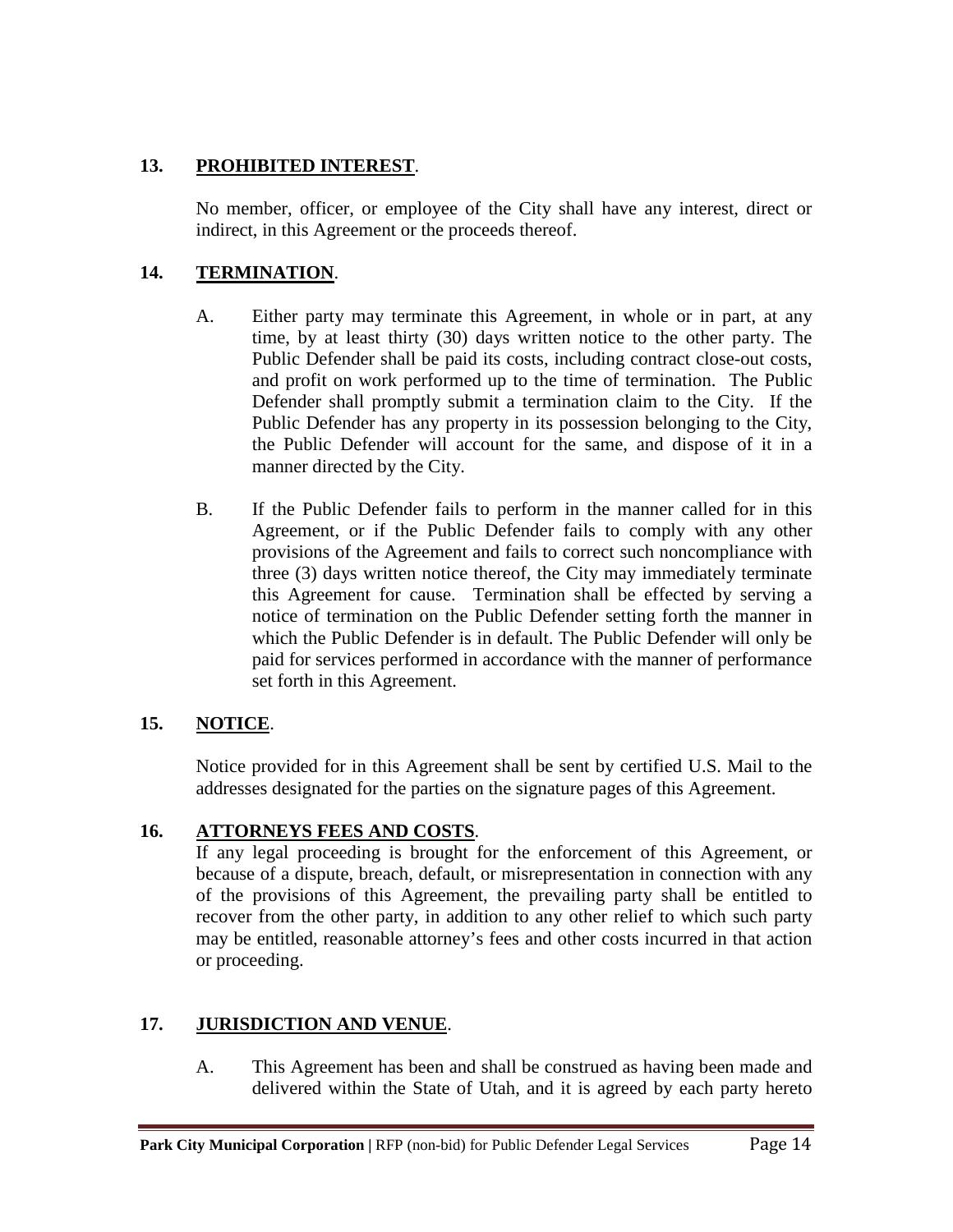## **13. PROHIBITED INTEREST**.

No member, officer, or employee of the City shall have any interest, direct or indirect, in this Agreement or the proceeds thereof.

## **14. TERMINATION**.

- A. Either party may terminate this Agreement, in whole or in part, at any time, by at least thirty (30) days written notice to the other party. The Public Defender shall be paid its costs, including contract close-out costs, and profit on work performed up to the time of termination. The Public Defender shall promptly submit a termination claim to the City. If the Public Defender has any property in its possession belonging to the City, the Public Defender will account for the same, and dispose of it in a manner directed by the City.
- B. If the Public Defender fails to perform in the manner called for in this Agreement, or if the Public Defender fails to comply with any other provisions of the Agreement and fails to correct such noncompliance with three (3) days written notice thereof, the City may immediately terminate this Agreement for cause. Termination shall be effected by serving a notice of termination on the Public Defender setting forth the manner in which the Public Defender is in default. The Public Defender will only be paid for services performed in accordance with the manner of performance set forth in this Agreement.

## **15. NOTICE**.

Notice provided for in this Agreement shall be sent by certified U.S. Mail to the addresses designated for the parties on the signature pages of this Agreement.

## **16. ATTORNEYS FEES AND COSTS**.

If any legal proceeding is brought for the enforcement of this Agreement, or because of a dispute, breach, default, or misrepresentation in connection with any of the provisions of this Agreement, the prevailing party shall be entitled to recover from the other party, in addition to any other relief to which such party may be entitled, reasonable attorney's fees and other costs incurred in that action or proceeding.

## **17. JURISDICTION AND VENUE**.

A. This Agreement has been and shall be construed as having been made and delivered within the State of Utah, and it is agreed by each party hereto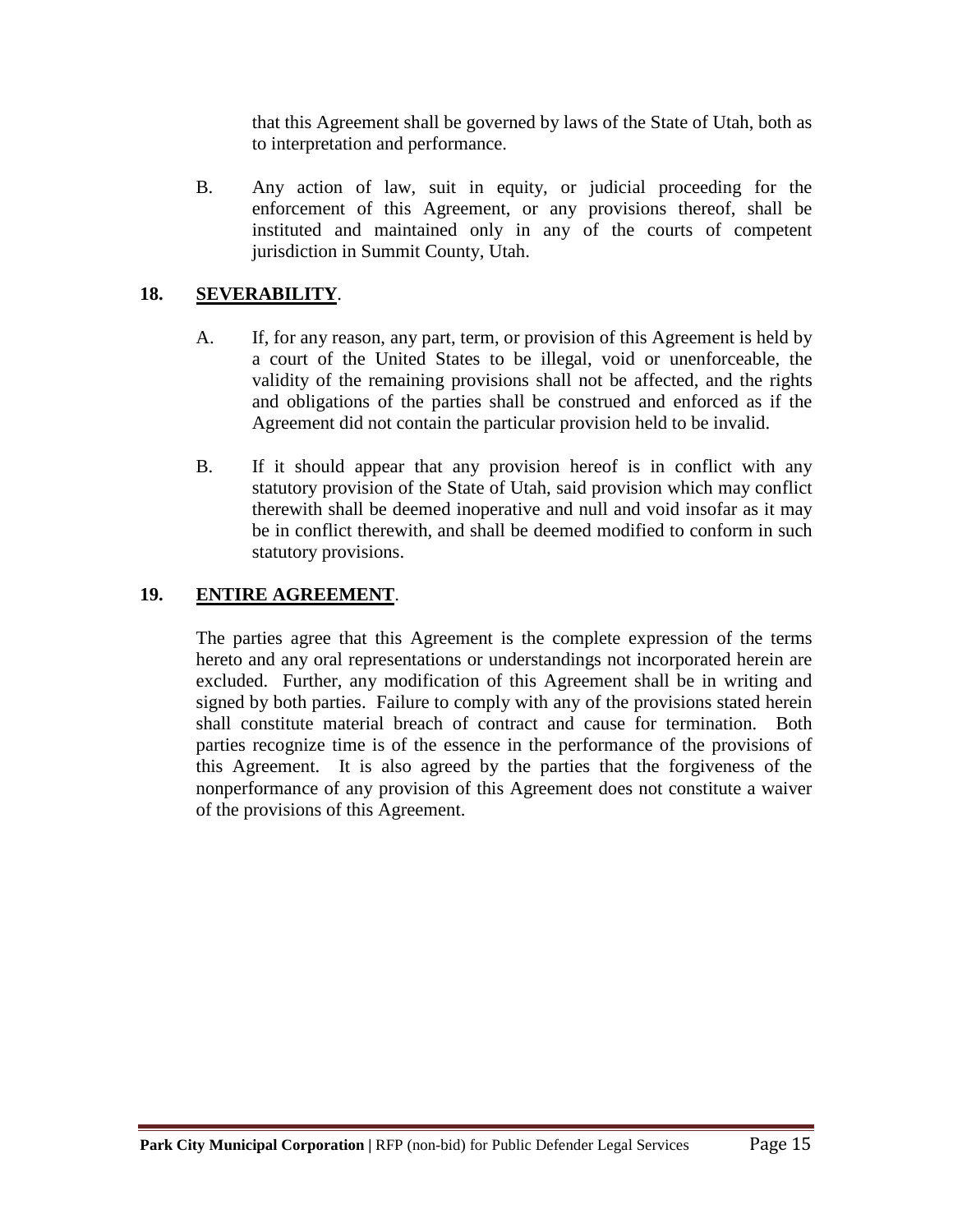that this Agreement shall be governed by laws of the State of Utah, both as to interpretation and performance.

B. Any action of law, suit in equity, or judicial proceeding for the enforcement of this Agreement, or any provisions thereof, shall be instituted and maintained only in any of the courts of competent jurisdiction in Summit County, Utah.

## **18. SEVERABILITY**.

- A. If, for any reason, any part, term, or provision of this Agreement is held by a court of the United States to be illegal, void or unenforceable, the validity of the remaining provisions shall not be affected, and the rights and obligations of the parties shall be construed and enforced as if the Agreement did not contain the particular provision held to be invalid.
- B. If it should appear that any provision hereof is in conflict with any statutory provision of the State of Utah, said provision which may conflict therewith shall be deemed inoperative and null and void insofar as it may be in conflict therewith, and shall be deemed modified to conform in such statutory provisions.

# **19. ENTIRE AGREEMENT**.

The parties agree that this Agreement is the complete expression of the terms hereto and any oral representations or understandings not incorporated herein are excluded. Further, any modification of this Agreement shall be in writing and signed by both parties. Failure to comply with any of the provisions stated herein shall constitute material breach of contract and cause for termination. Both parties recognize time is of the essence in the performance of the provisions of this Agreement. It is also agreed by the parties that the forgiveness of the nonperformance of any provision of this Agreement does not constitute a waiver of the provisions of this Agreement.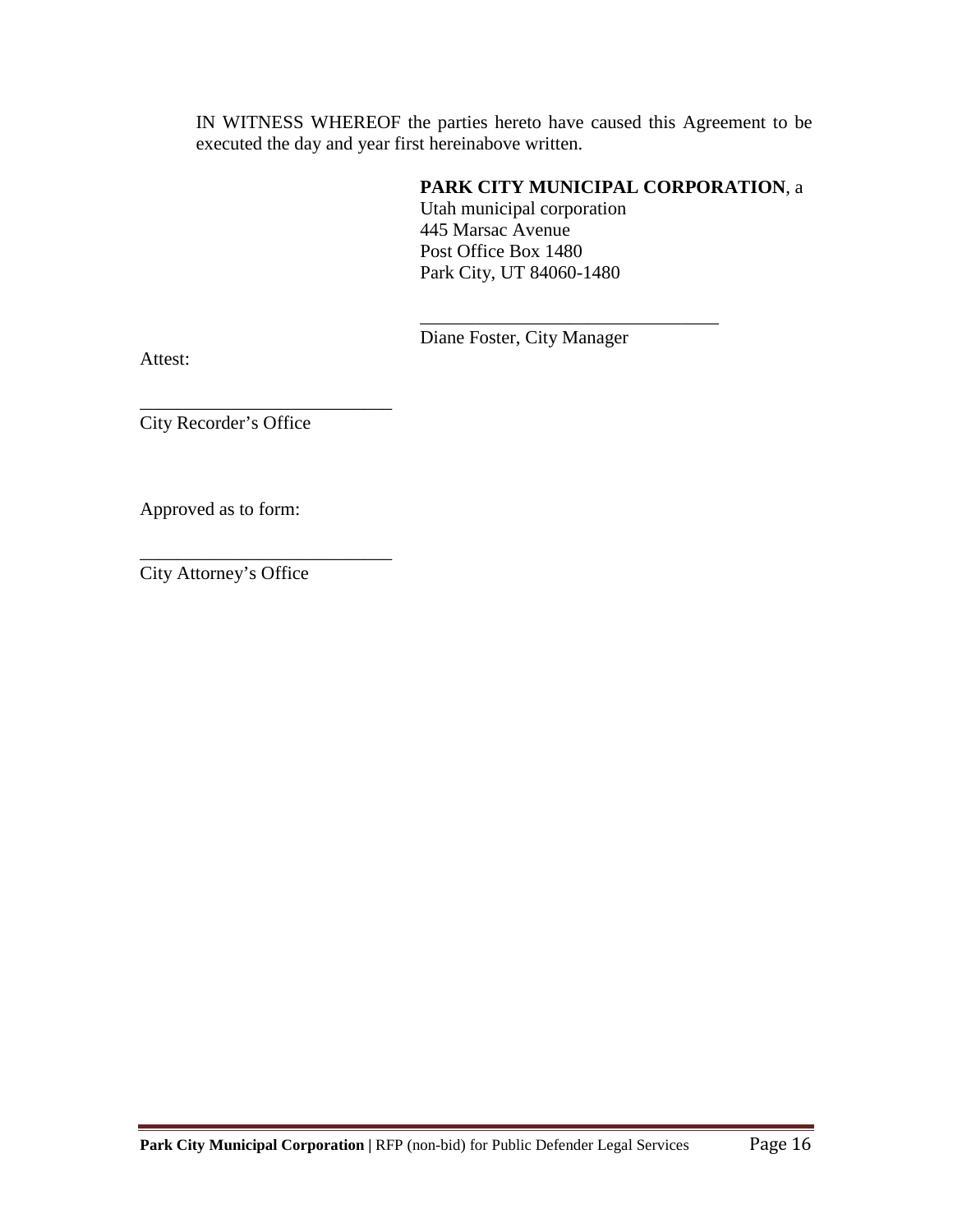IN WITNESS WHEREOF the parties hereto have caused this Agreement to be executed the day and year first hereinabove written.

## **PARK CITY MUNICIPAL CORPORATION**, a

Utah municipal corporation 445 Marsac Avenue Post Office Box 1480 Park City, UT 84060-1480

Diane Foster, City Manager

\_\_\_\_\_\_\_\_\_\_\_\_\_\_\_\_\_\_\_\_\_\_\_\_\_\_\_\_\_\_\_\_

Attest:

\_\_\_\_\_\_\_\_\_\_\_\_\_\_\_\_\_\_\_\_\_\_\_\_\_\_\_ City Recorder's Office

Approved as to form:

City Attorney's Office

\_\_\_\_\_\_\_\_\_\_\_\_\_\_\_\_\_\_\_\_\_\_\_\_\_\_\_